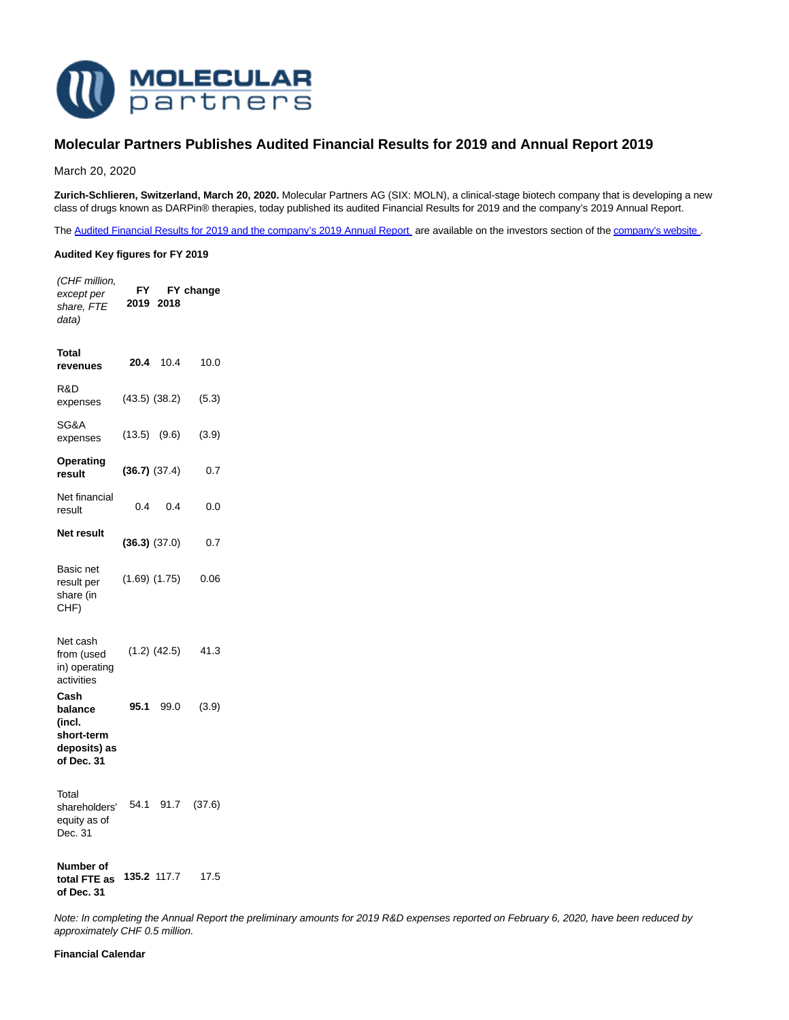

# **Molecular Partners Publishes Audited Financial Results for 2019 and Annual Report 2019**

March 20, 2020

**Zurich-Schlieren, Switzerland, March 20, 2020.** Molecular Partners AG (SIX: MOLN), a clinical-stage biotech company that is developing a new class of drugs known as DARPin® therapies, today published its audited Financial Results for 2019 and the company's 2019 Annual Report.

The Audited Financial Results for 2019 and the company's 2019 Annual Report, are available on the investors section of th[e company's website](https://www.molecularpartners.com/).

## **Audited Key figures for FY 2019**

(CHF million, except per share, FTE data) **FY FY change 2019 2018**

| Total<br>revenues                                                     | 20.4 | 10.4              | 10.0  |
|-----------------------------------------------------------------------|------|-------------------|-------|
| R&D<br>expenses                                                       |      | $(43.5)$ $(38.2)$ | (5.3) |
| SG&A<br>expenses                                                      |      | $(13.5)$ $(9.6)$  | (3.9) |
| Operating<br>result                                                   |      | (36.7) (37.4)     | 0.7   |
| Net financial<br>result                                               | 0.4  | 0.4               | 0.0   |
| Net result                                                            |      | $(36.3)$ $(37.0)$ | 0.7   |
| Basic net<br>result per<br>share (in<br>CHF)                          |      | $(1.69)$ $(1.75)$ | 0.06  |
| Net cash<br>from (used<br>in) operating<br>activities                 |      | $(1.2)$ $(42.5)$  | 41.3  |
| Cash<br>balance<br>(incl.<br>short-term<br>deposits) as<br>of Dec. 31 | 95.1 | 99.0              | (3.9) |
| Total                                                                 |      |                   |       |

shareholders' 54.1 91.7 (37.6) equity as of Dec. 31

**Number of total FTE as 135.2** 117.7 17.5 **of Dec. 31**

Note: In completing the Annual Report the preliminary amounts for 2019 R&D expenses reported on February 6, 2020, have been reduced by approximately CHF 0.5 million.

**Financial Calendar**